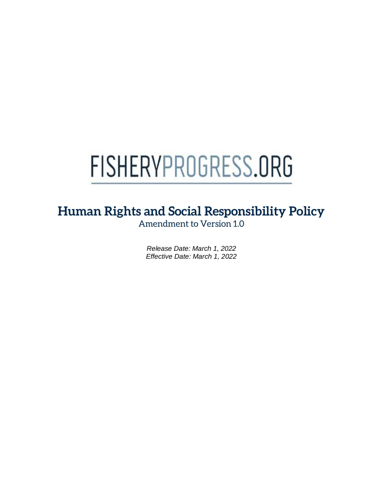# FISHERYPROGRESS.ORG

# **Human Rights and Social Responsibility Policy**

Amendment to Version 1.0

*Release Date: March 1, 2022 Effective Date: March 1, 2022*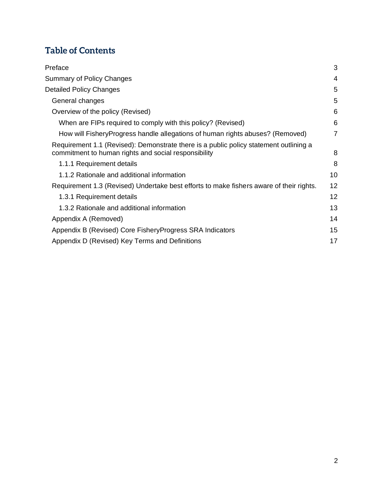# **Table of Contents**

| 3  |
|----|
| 4  |
| 5  |
| 5  |
| 6  |
| 6  |
| 7  |
| 8  |
| 8  |
| 10 |
| 12 |
| 12 |
| 13 |
| 14 |
| 15 |
| 17 |
|    |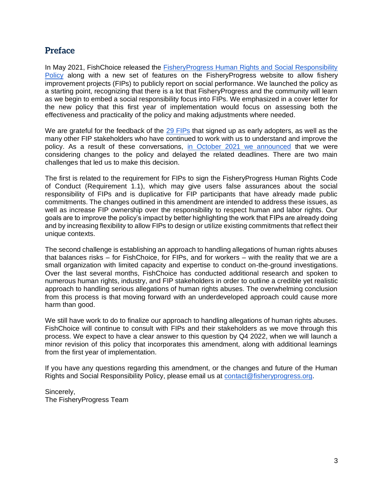# <span id="page-2-0"></span>**Preface**

In May 2021, FishChoice released the [FisheryProgress Human Rights and Social Responsibility](https://fisheryprogress.org/social-responsibility/our-approach)  [Policy](https://fisheryprogress.org/social-responsibility/our-approach) along with a new set of features on the FisheryProgress website to allow fishery improvement projects (FIPs) to publicly report on social performance. We launched the policy as a starting point, recognizing that there is a lot that FisheryProgress and the community will learn as we begin to embed a social responsibility focus into FIPs. We emphasized in a [cover letter](https://fisheryprogress.org/sites/default/files/FP_SocialPolicy_English_CoverNote_5.7.21.pdf) for the new policy that this first year of implementation would focus on assessing both the effectiveness and practicality of the policy and making adjustments where needed.

We are grateful for the feedback of the [29 FIPs](https://fisheryprogress.org/social-responsibility-early-adopters) that signed up as early adopters, as well as the many other FIP stakeholders who have continued to work with us to understand and improve the policy. As a result of these conversations, [in October 2021 we announced](https://mailchi.mp/fisheryprogress.org/fisheryprogress-update-may-1014268) that we were considering changes to the policy and delayed the related deadlines. There are two main challenges that led us to make this decision.

The first is related to the requirement for FIPs to sign the FisheryProgress Human Rights Code of Conduct (Requirement 1.1), which may give users false assurances about the social responsibility of FIPs and is duplicative for FIP participants that have already made public commitments. The changes outlined in this amendment are intended to address these issues, as well as increase FIP ownership over the responsibility to respect human and labor rights. Our goals are to improve the policy's impact by better highlighting the work that FIPs are already doing and by increasing flexibility to allow FIPs to design or utilize existing commitments that reflect their unique contexts.

The second challenge is establishing an approach to handling allegations of human rights abuses that balances risks – for FishChoice, for FIPs, and for workers – with the reality that we are a small organization with limited capacity and expertise to conduct on-the-ground investigations. Over the last several months, FishChoice has conducted additional research and spoken to numerous human rights, industry, and FIP stakeholders in order to outline a credible yet realistic approach to handling serious allegations of human rights abuses. The overwhelming conclusion from this process is that moving forward with an underdeveloped approach could cause more harm than good.

We still have work to do to finalize our approach to handling allegations of human rights abuses. FishChoice will continue to consult with FIPs and their stakeholders as we move through this process. We expect to have a clear answer to this question by Q4 2022, when we will launch a minor revision of this policy that incorporates this amendment, along with additional learnings from the first year of implementation.

If you have any questions regarding this amendment, or the changes and future of the Human Rights and Social Responsibility Policy, please email us at [contact@fisheryprogress.org.](mailto:contact@fisheryprogress.org)

Sincerely, The FisheryProgress Team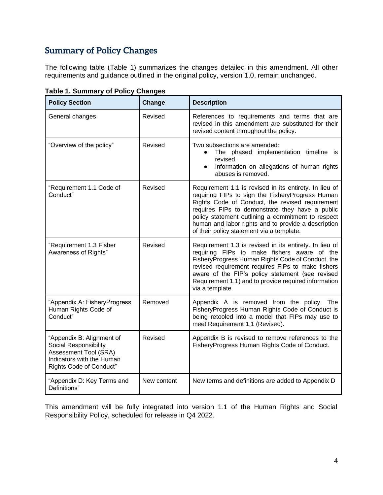# <span id="page-3-0"></span>**Summary of Policy Changes**

The following table (Table 1) summarizes the changes detailed in this amendment. All other requirements and guidance outlined in the original policy, version 1.0, remain unchanged.

| <b>Policy Section</b>                                                                                                               | Change      | <b>Description</b>                                                                                                                                                                                                                                                                                                                                                         |
|-------------------------------------------------------------------------------------------------------------------------------------|-------------|----------------------------------------------------------------------------------------------------------------------------------------------------------------------------------------------------------------------------------------------------------------------------------------------------------------------------------------------------------------------------|
| General changes                                                                                                                     | Revised     | References to requirements and terms that are<br>revised in this amendment are substituted for their<br>revised content throughout the policy.                                                                                                                                                                                                                             |
| "Overview of the policy"                                                                                                            | Revised     | Two subsections are amended:<br>The phased implementation timeline is<br>$\bullet$<br>revised.<br>Information on allegations of human rights<br>$\bullet$<br>abuses is removed.                                                                                                                                                                                            |
| "Requirement 1.1 Code of<br>Conduct"                                                                                                | Revised     | Requirement 1.1 is revised in its entirety. In lieu of<br>requiring FIPs to sign the FisheryProgress Human<br>Rights Code of Conduct, the revised requirement<br>requires FIPs to demonstrate they have a public<br>policy statement outlining a commitment to respect<br>human and labor rights and to provide a description<br>of their policy statement via a template. |
| "Requirement 1.3 Fisher<br>Awareness of Rights"                                                                                     | Revised     | Requirement 1.3 is revised in its entirety. In lieu of<br>requiring FIPs to make fishers aware of the<br>Fishery Progress Human Rights Code of Conduct, the<br>revised requirement requires FIPs to make fishers<br>aware of the FIP's policy statement (see revised<br>Requirement 1.1) and to provide required information<br>via a template.                            |
| "Appendix A: FisheryProgress<br>Human Rights Code of<br>Conduct"                                                                    | Removed     | Appendix A is removed from the policy. The<br>FisheryProgress Human Rights Code of Conduct is<br>being retooled into a model that FIPs may use to<br>meet Requirement 1.1 (Revised).                                                                                                                                                                                       |
| "Appendix B: Alignment of<br>Social Responsibility<br>Assessment Tool (SRA)<br>Indicators with the Human<br>Rights Code of Conduct" | Revised     | Appendix B is revised to remove references to the<br>FisheryProgress Human Rights Code of Conduct.                                                                                                                                                                                                                                                                         |
| "Appendix D: Key Terms and<br>Definitions"                                                                                          | New content | New terms and definitions are added to Appendix D                                                                                                                                                                                                                                                                                                                          |

| <b>Table 1. Summary of Policy Changes</b> |  |  |
|-------------------------------------------|--|--|
|-------------------------------------------|--|--|

This amendment will be fully integrated into version 1.1 of the Human Rights and Social Responsibility Policy, scheduled for release in Q4 2022.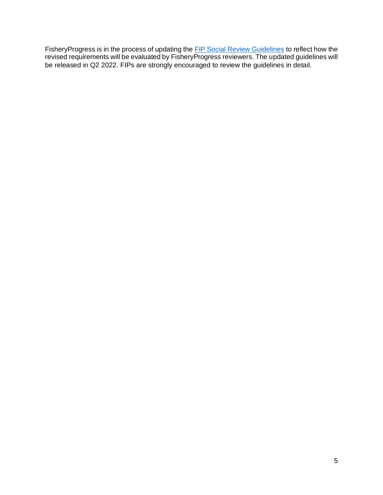FisheryProgress is in the process of updating the **FIP Social Review Guidelines** to reflect how the revised requirements will be evaluated by FisheryProgress reviewers. The updated guidelines will be released in Q2 2022. FIPs are strongly encouraged to review the guidelines in detail.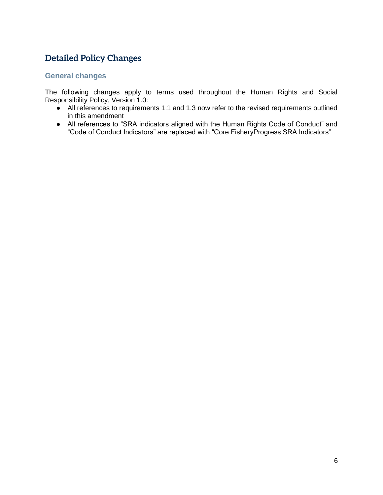# <span id="page-5-0"></span>**Detailed Policy Changes**

#### <span id="page-5-1"></span>**General changes**

The following changes apply to terms used throughout the Human Rights and Social Responsibility Policy, Version 1.0:

- All references to requirements 1.1 and 1.3 now refer to the revised requirements outlined in this amendment
- All references to "SRA indicators aligned with the Human Rights Code of Conduct" and "Code of Conduct Indicators" are replaced with "Core FisheryProgress SRA Indicators"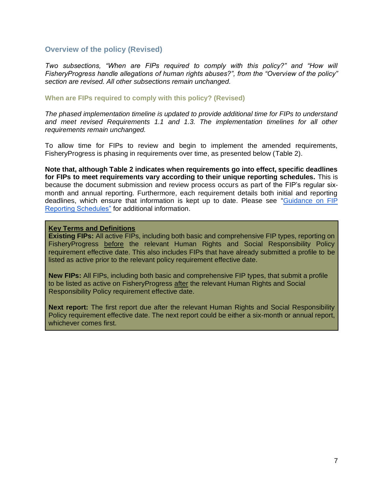#### <span id="page-6-0"></span>**Overview of the policy (Revised)**

*Two subsections, "When are FIPs required to comply with this policy?" and "How will FisheryProgress handle allegations of human rights abuses?", from the "Overview of the policy" section are revised. All other subsections remain unchanged.*

#### <span id="page-6-1"></span>**When are FIPs required to comply with this policy? (Revised)**

*The phased implementation timeline is updated to provide additional time for FIPs to understand and meet revised Requirements 1.1 and 1.3. The implementation timelines for all other requirements remain unchanged.*

To allow time for FIPs to review and begin to implement the amended requirements, FisheryProgress is phasing in requirements over time, as presented below (Table 2).

**Note that, although Table 2 indicates when requirements go into effect, specific deadlines for FIPs to meet requirements vary according to their unique reporting schedules.** This is because the document submission and review process occurs as part of the FIP's regular sixmonth and annual reporting. Furthermore, each requirement details both initial and reporting deadlines, which ensure that information is kept up to date. Please see ["Guidance on FIP](https://fisheryprogress.org/sites/default/files/FP%20Social_Reporting%20Schedule%20Guidance.pdf)  [Reporting Schedules"](https://fisheryprogress.org/sites/default/files/FP%20Social_Reporting%20Schedule%20Guidance.pdf) for additional information.

#### **Key Terms and Definitions**

**Existing FIPs:** All active FIPs, including both basic and comprehensive FIP types, reporting on FisheryProgress before the relevant Human Rights and Social Responsibility Policy requirement effective date. This also includes FIPs that have already submitted a profile to be listed as active prior to the relevant policy requirement effective date.

**New FIPs:** All FIPs, including both basic and comprehensive FIP types, that submit a profile to be listed as active on FisheryProgress after the relevant Human Rights and Social Responsibility Policy requirement effective date.

**Next report:** The first report due after the relevant Human Rights and Social Responsibility Policy requirement effective date. The next report could be either a six-month or annual report, whichever comes first.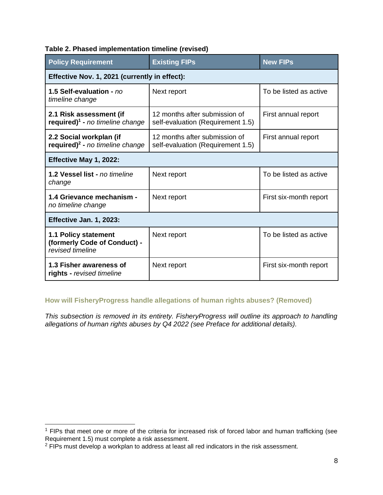|  | Table 2. Phased implementation timeline (revised) |  |  |
|--|---------------------------------------------------|--|--|
|--|---------------------------------------------------|--|--|

| <b>Policy Requirement</b>                                                | <b>Existing FIPs</b>                                               | <b>New FIPs</b>        |  |
|--------------------------------------------------------------------------|--------------------------------------------------------------------|------------------------|--|
| Effective Nov. 1, 2021 (currently in effect):                            |                                                                    |                        |  |
| 1.5 Self-evaluation - no<br>timeline change                              | Next report                                                        | To be listed as active |  |
| 2.1 Risk assessment (if<br>required) <sup>1</sup> - no timeline change   | 12 months after submission of<br>self-evaluation (Requirement 1.5) | First annual report    |  |
| 2.2 Social workplan (if<br>required) $^2$ - no timeline change           | 12 months after submission of<br>self-evaluation (Requirement 1.5) | First annual report    |  |
| Effective May 1, 2022:                                                   |                                                                    |                        |  |
| 1.2 Vessel list - no timeline<br>change                                  | Next report                                                        | To be listed as active |  |
| 1.4 Grievance mechanism -<br>no timeline change                          | Next report                                                        | First six-month report |  |
| Effective Jan. 1, 2023:                                                  |                                                                    |                        |  |
| 1.1 Policy statement<br>(formerly Code of Conduct) -<br>revised timeline | Next report                                                        | To be listed as active |  |
| 1.3 Fisher awareness of<br>rights - revised timeline                     | Next report                                                        | First six-month report |  |

## <span id="page-7-0"></span>**How will FisheryProgress handle allegations of human rights abuses? (Removed)**

*This subsection is removed in its entirety. FisheryProgress will outline its approach to handling allegations of human rights abuses by Q4 2022 (see Preface for additional details).* 

 $1$  FIPs that meet one or more of the criteria for increased risk of forced labor and human trafficking (see Requirement 1.5) must complete a risk assessment.

 $2$  FIPs must develop a workplan to address at least all red indicators in the risk assessment.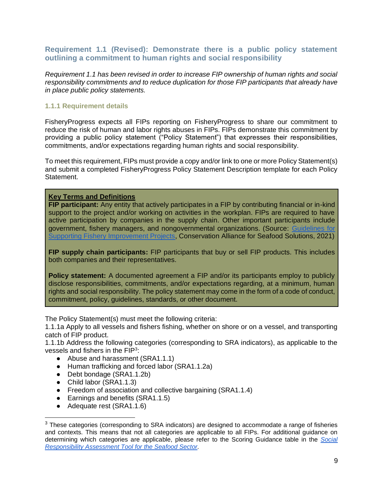#### <span id="page-8-0"></span>**Requirement 1.1 (Revised): Demonstrate there is a public policy statement outlining a commitment to human rights and social responsibility**

*Requirement 1.1 has been revised in order to increase FIP ownership of human rights and social responsibility commitments and to reduce duplication for those FIP participants that already have in place public policy statements.* 

#### <span id="page-8-1"></span>**1.1.1 Requirement details**

FisheryProgress expects all FIPs reporting on FisheryProgress to share our commitment to reduce the risk of human and labor rights abuses in FIPs. FIPs demonstrate this commitment by providing a public policy statement ("Policy Statement") that expresses their responsibilities, commitments, and/or expectations regarding human rights and social responsibility.

To meet this requirement, FIPs must provide a copy and/or link to one or more Policy Statement(s) and submit a completed FisheryProgress Policy Statement Description template for each Policy Statement.

#### **Key Terms and Definitions**

**FIP participant:** Any entity that actively participates in a FIP by contributing financial or in-kind support to the project and/or working on activities in the workplan. FIPs are required to have active participation by companies in the supply chain. Other important participants include government, fishery managers, and nongovernmental organizations. (Source: [Guidelines for](https://fisheryprogress.org/sites/default/files/FIP-Guidelines-January-2021.pdf)  [Supporting Fishery Improvement Projects,](https://fisheryprogress.org/sites/default/files/FIP-Guidelines-January-2021.pdf) Conservation Alliance for Seafood Solutions, 2021)

**FIP supply chain participants:** FIP participants that buy or sell FIP products. This includes both companies and their representatives.

**Policy statement:** A documented agreement a FIP and/or its participants employ to publicly disclose responsibilities, commitments, and/or expectations regarding, at a minimum, human rights and social responsibility. The policy statement may come in the form of a code of conduct, commitment, policy, guidelines, standards, or other document.

The Policy Statement(s) must meet the following criteria:

1.1.1a Apply to all vessels and fishers fishing, whether on shore or on a vessel, and transporting catch of FIP product.

1.1.1b Address the following categories (corresponding to SRA indicators), as applicable to the vessels and fishers in the  $FIP<sup>3</sup>$ :

- Abuse and harassment (SRA1.1.1)
- Human trafficking and forced labor (SRA1.1.2a)
- Debt bondage (SRA1.1.2b)
- Child labor (SRA1.1.3)
- Freedom of association and collective bargaining (SRA1.1.4)
- Earnings and benefits (SRA1.1.5)
- Adequate rest (SRA1.1.6)

 $3$  These categories (corresponding to SRA indicators) are designed to accommodate a range of fisheries and contexts. This means that not all categories are applicable to all FIPs. For additional guidance on determining which categories are applicable, please refer to the Scoring Guidance table in the *[Social](https://riseseafood.org/topics/actioning-the-monterey-framework/)  [Responsibility Assessment Tool for the Seafood Sector.](https://riseseafood.org/topics/actioning-the-monterey-framework/)*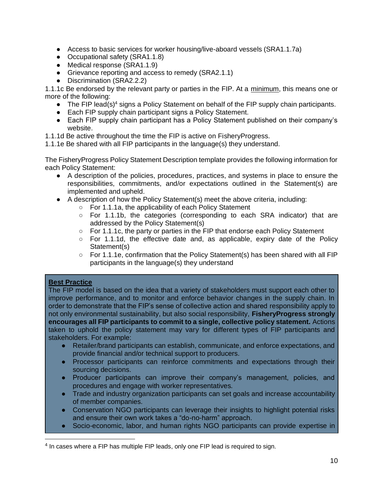- Access to basic services for worker housing/live-aboard vessels (SRA1.1.7a)
- Occupational safety (SRA1.1.8)
- Medical response (SRA1.1.9)
- Grievance reporting and access to remedy (SRA2.1.1)
- Discrimination (SRA2.2.2)

1.1.1c Be endorsed by the relevant party or parties in the FIP. At a minimum, this means one or more of the following:

- $\bullet$  The FIP lead(s)<sup>4</sup> signs a Policy Statement on behalf of the FIP supply chain participants.
- Each FIP supply chain participant signs a Policy Statement.
- Each FIP supply chain participant has a Policy Statement published on their company's website.
- 1.1.1d Be active throughout the time the FIP is active on FisheryProgress.
- 1.1.1e Be shared with all FIP participants in the language(s) they understand.

The FisheryProgress Policy Statement Description template provides the following information for each Policy Statement:

- A description of the policies, procedures, practices, and systems in place to ensure the responsibilities, commitments, and/or expectations outlined in the Statement(s) are implemented and upheld.
- A description of how the Policy Statement(s) meet the above criteria, including:
	- For 1.1.1a, the applicability of each Policy Statement
	- $\circ$  For 1.1.1b, the categories (corresponding to each SRA indicator) that are addressed by the Policy Statement(s)
	- For 1.1.1c, the party or parties in the FIP that endorse each Policy Statement
	- $\circ$  For 1.1.1d, the effective date and, as applicable, expiry date of the Policy Statement(s)
	- For 1.1.1e, confirmation that the Policy Statement(s) has been shared with all FIP participants in the language(s) they understand

#### **Best Practice**

The FIP model is based on the idea that a variety of stakeholders must support each other to improve performance, and to monitor and enforce behavior changes in the supply chain. In order to demonstrate that the FIP's sense of collective action and shared responsibility apply to not only environmental sustainability, but also social responsibility, **FisheryProgress strongly encourages all FIP participants to commit to a single, collective policy statement.** Actions taken to uphold the policy statement may vary for different types of FIP participants and stakeholders. For example:

- Retailer/brand participants can establish, communicate, and enforce expectations, and provide financial and/or technical support to producers.
- Processor participants can reinforce commitments and expectations through their sourcing decisions.
- Producer participants can improve their company's management, policies, and procedures and engage with worker representatives.
- Trade and industry organization participants can set goals and increase accountability of member companies.
- Conservation NGO participants can leverage their insights to highlight potential risks and ensure their own work takes a "do-no-harm" approach.
- Socio-economic, labor, and human rights NGO participants can provide expertise in

 $<sup>4</sup>$  In cases where a FIP has multiple FIP leads, only one FIP lead is required to sign.</sup>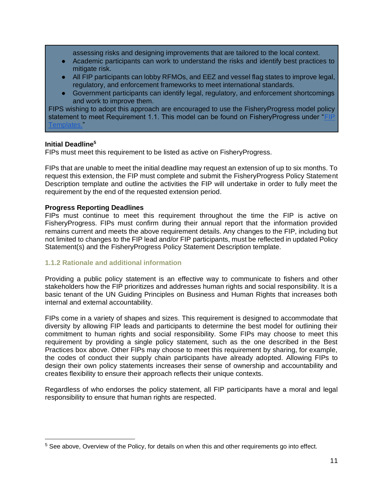assessing risks and designing improvements that are tailored to the local context.

- Academic participants can work to understand the risks and identify best practices to mitigate risk.
- All FIP participants can lobby RFMOs, and EEZ and vessel flag states to improve legal, regulatory, and enforcement frameworks to meet international standards.
- Government participants can identify legal, regulatory, and enforcement shortcomings and work to improve them.

FIPS wishing to adopt this approach are encouraged to use the FisheryProgress model policy statement to meet Requirement 1.1. This model can be found on FisheryProgress under "FI [Templates.](https://fisheryprogress.org/resources/launching-fip)"

#### **Initial Deadline<sup>5</sup>**

FIPs must meet this requirement to be listed as active on FisheryProgress.

FIPs that are unable to meet the initial deadline may request an extension of up to six months. To request this extension, the FIP must complete and submit the FisheryProgress Policy Statement Description template and outline the activities the FIP will undertake in order to fully meet the requirement by the end of the requested extension period.

#### **Progress Reporting Deadlines**

FIPs must continue to meet this requirement throughout the time the FIP is active on FisheryProgress. FIPs must confirm during their annual report that the information provided remains current and meets the above requirement details. Any changes to the FIP, including but not limited to changes to the FIP lead and/or FIP participants, must be reflected in updated Policy Statement(s) and the FisheryProgress Policy Statement Description template.

#### <span id="page-10-0"></span>**1.1.2 Rationale and additional information**

Providing a public policy statement is an effective way to communicate to fishers and other stakeholders how the FIP prioritizes and addresses human rights and social responsibility. It is a basic tenant of the UN Guiding Principles on Business and Human Rights that increases both internal and external accountability.

FIPs come in a variety of shapes and sizes. This requirement is designed to accommodate that diversity by allowing FIP leads and participants to determine the best model for outlining their commitment to human rights and social responsibility. Some FIPs may choose to meet this requirement by providing a single policy statement, such as the one described in the Best Practices box above. Other FIPs may choose to meet this requirement by sharing, for example, the codes of conduct their supply chain participants have already adopted. Allowing FIPs to design their own policy statements increases their sense of ownership and accountability and creates flexibility to ensure their approach reflects their unique contexts.

Regardless of who endorses the policy statement, all FIP participants have a moral and legal responsibility to ensure that human rights are respected.

<sup>&</sup>lt;sup>5</sup> See above, Overview of the Policy, for details on when this and other requirements go into effect.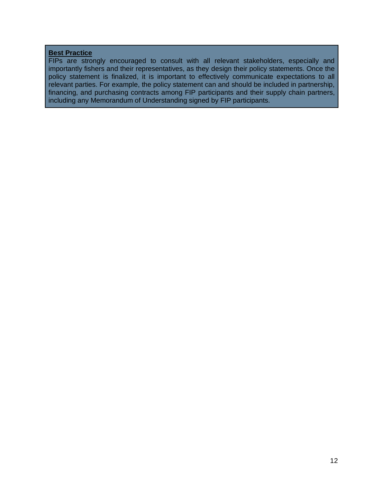#### **Best Practice**

FIPs are strongly encouraged to consult with all relevant stakeholders, especially and importantly fishers and their representatives, as they design their policy statements. Once the policy statement is finalized, it is important to effectively communicate expectations to all relevant parties. For example, the policy statement can and should be included in partnership, financing, and purchasing contracts among FIP participants and their supply chain partners, including any Memorandum of Understanding signed by FIP participants.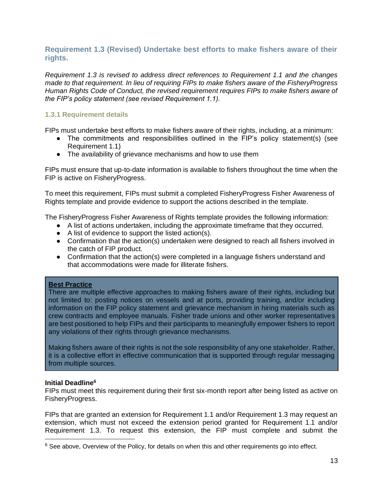#### <span id="page-12-0"></span>**Requirement 1.3 (Revised) Undertake best efforts to make fishers aware of their rights.**

*Requirement 1.3 is revised to address direct references to Requirement 1.1 and the changes made to that requirement. In lieu of requiring FIPs to make fishers aware of the FisheryProgress Human Rights Code of Conduct, the revised requirement requires FIPs to make fishers aware of the FIP's policy statement (see revised Requirement 1.1).* 

#### <span id="page-12-1"></span>**1.3.1 Requirement details**

FIPs must undertake best efforts to make fishers aware of their rights, including, at a minimum:

- The commitments and responsibilities outlined in the FIP's policy statement(s) (see Requirement 1.1)
- The availability of grievance mechanisms and how to use them

FIPs must ensure that up-to-date information is available to fishers throughout the time when the FIP is active on FisheryProgress.

To meet this requirement, FIPs must submit a completed FisheryProgress Fisher Awareness of Rights template and provide evidence to support the actions described in the template.

The FisheryProgress Fisher Awareness of Rights template provides the following information:

- A list of actions undertaken, including the approximate timeframe that they occurred.
- A list of evidence to support the listed action(s).
- Confirmation that the action(s) undertaken were designed to reach all fishers involved in the catch of FIP product.
- Confirmation that the action(s) were completed in a language fishers understand and that accommodations were made for illiterate fishers.

#### **Best Practice**

There are multiple effective approaches to making fishers aware of their rights, including but not limited to: posting notices on vessels and at ports, providing training, and/or including information on the FIP policy statement and grievance mechanism in hiring materials such as crew contracts and employee manuals. Fisher trade unions and other worker representatives are best positioned to help FIPs and their participants to meaningfully empower fishers to report any violations of their rights through grievance mechanisms.

Making fishers aware of their rights is not the sole responsibility of any one stakeholder. Rather, it is a collective effort in effective communication that is supported through regular messaging from multiple sources.

#### **Initial Deadline<sup>6</sup>**

FIPs must meet this requirement during their first six-month report after being listed as active on FisheryProgress.

FIPs that are granted an extension for Requirement 1.1 and/or Requirement 1.3 may request an extension, which must not exceed the extension period granted for Requirement 1.1 and/or Requirement 1.3. To request this extension, the FIP must complete and submit the

 $6$  See above, Overview of the Policy, for details on when this and other requirements go into effect.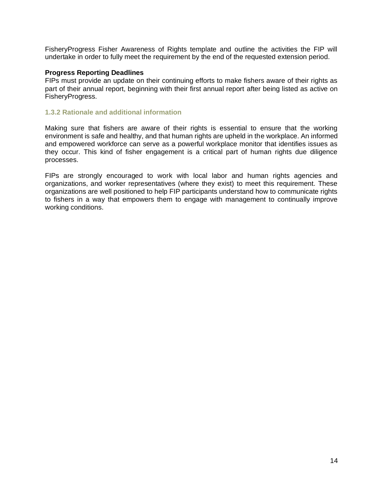FisheryProgress Fisher Awareness of Rights template and outline the activities the FIP will undertake in order to fully meet the requirement by the end of the requested extension period.

#### **Progress Reporting Deadlines**

FIPs must provide an update on their continuing efforts to make fishers aware of their rights as part of their annual report, beginning with their first annual report after being listed as active on FisheryProgress.

#### <span id="page-13-0"></span>**1.3.2 Rationale and additional information**

Making sure that fishers are aware of their rights is essential to ensure that the working environment is safe and healthy, and that human rights are upheld in the workplace. An informed and empowered workforce can serve as a powerful workplace monitor that identifies issues as they occur. This kind of fisher engagement is a critical part of human rights due diligence processes.

FIPs are strongly encouraged to work with local labor and human rights agencies and organizations, and worker representatives (where they exist) to meet this requirement. These organizations are well positioned to help FIP participants understand how to communicate rights to fishers in a way that empowers them to engage with management to continually improve working conditions.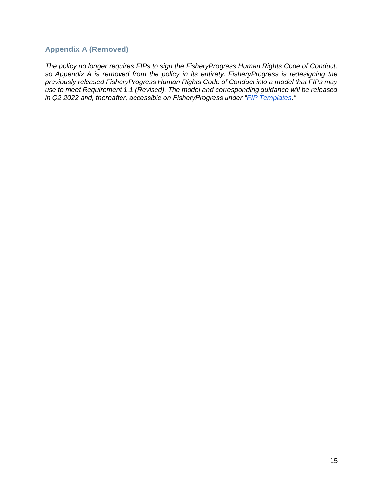## <span id="page-14-0"></span>**Appendix A (Removed)**

*The policy no longer requires FIPs to sign the FisheryProgress Human Rights Code of Conduct, so Appendix A is removed from the policy in its entirety. FisheryProgress is redesigning the previously released FisheryProgress Human Rights Code of Conduct into a model that FIPs may use to meet Requirement 1.1 (Revised). The model and corresponding guidance will be released in Q2 2022 and, thereafter, accessible on FisheryProgress under ["FIP Templates.](https://fisheryprogress.org/resources/launching-fip)"*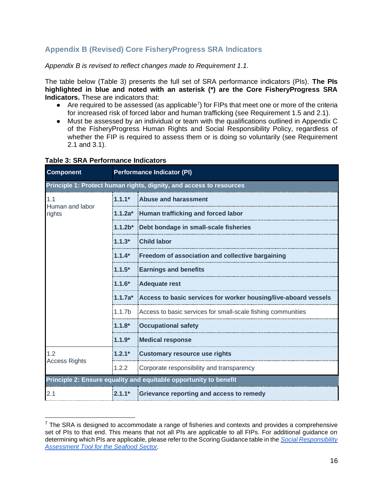# <span id="page-15-0"></span>**Appendix B (Revised) Core FisheryProgress SRA Indicators**

*Appendix B is revised to reflect changes made to Requirement 1.1.* 

The table below (Table 3) presents the full set of SRA performance indicators (PIs). **The PIs highlighted in blue and noted with an asterisk (\*) are the Core FisheryProgress SRA Indicators.** These are indicators that:

- $\bullet$  Are required to be assessed (as applicable<sup>7</sup>) for FIPs that meet one or more of the criteria for increased risk of forced labor and human trafficking (see Requirement 1.5 and 2.1).
- Must be assessed by an individual or team with the qualifications outlined in Appendix C of the FisheryProgress Human Rights and Social Responsibility Policy, regardless of whether the FIP is required to assess them or is doing so voluntarily (see Requirement 2.1 and 3.1).

| <b>Component</b>                 | <b>Performance Indicator (PI)</b> |                                                                         |  |
|----------------------------------|-----------------------------------|-------------------------------------------------------------------------|--|
|                                  |                                   | Principle 1: Protect human rights, dignity, and access to resources     |  |
| 1.1<br>Human and labor<br>rights | $1.1.1*$                          | Abuse and harassment                                                    |  |
|                                  |                                   | 1.1.2a* Human trafficking and forced labor                              |  |
|                                  |                                   | 1.1.2b* Debt bondage in small-scale fisheries                           |  |
|                                  | $1.1.3*$                          | <b>Child labor</b>                                                      |  |
|                                  | $1.1.4*$                          | <b>Freedom of association and collective bargaining</b>                 |  |
|                                  | $1.1.5*$                          | <b>Earnings and benefits</b>                                            |  |
|                                  | $1.1.6*$                          | Adequate rest                                                           |  |
|                                  |                                   | 1.1.7a* Access to basic services for worker housing/live-aboard vessels |  |
|                                  | 1.1.7 <sub>b</sub>                | Access to basic services for small-scale fishing communities            |  |
|                                  | $1.1.8*$                          | <b>Occupational safety</b>                                              |  |
|                                  | $1.1.9*$                          | <b>Medical response</b>                                                 |  |
| 1.2<br><b>Access Rights</b>      | $1.2.1*$                          | <b>Customary resource use rights</b>                                    |  |
|                                  | 1.2.2                             | Corporate responsibility and transparency                               |  |
|                                  |                                   | Principle 2: Ensure equality and equitable opportunity to benefit       |  |
| 2.1                              | $2.1.1*$                          | Grievance reporting and access to remedy                                |  |

#### **Table 3: SRA Performance Indicators**

 $7$  The SRA is designed to accommodate a range of fisheries and contexts and provides a comprehensive set of PIs to that end. This means that not all PIs are applicable to all FIPs. For additional guidance on determining which PIs are applicable, please refer to the Scoring Guidance table in the *[Social Responsibility](https://riseseafood.org/topics/actioning-the-monterey-framework/)  [Assessment Tool for the Seafood Sector.](https://riseseafood.org/topics/actioning-the-monterey-framework/)*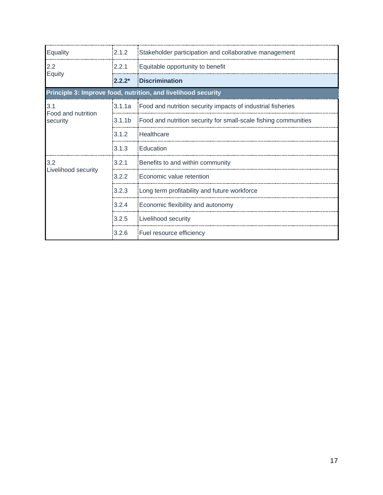| Equality                              | 2.1.2                                                         | Stakeholder participation and collaborative management          |  |  |
|---------------------------------------|---------------------------------------------------------------|-----------------------------------------------------------------|--|--|
| 2.2                                   | 2.2.1                                                         | Equitable opportunity to benefit                                |  |  |
| <b>Equity</b>                         | $2.2.2*$                                                      | <b>Discrimination</b>                                           |  |  |
|                                       | Principle 3: Improve food, nutrition, and livelihood security |                                                                 |  |  |
| 3.1<br>Food and nutrition<br>security | 3.1.1a                                                        | Food and nutrition security impacts of industrial fisheries     |  |  |
|                                       | 3.1.1 <sub>b</sub>                                            | Food and nutrition security for small-scale fishing communities |  |  |
|                                       | 3.1.2                                                         | Healthcare                                                      |  |  |
|                                       | 3.1.3                                                         | Education                                                       |  |  |
| 3.2<br>Livelihood security            | 3.2.1                                                         | Benefits to and within community                                |  |  |
|                                       | 3.2.2                                                         | Economic value retention                                        |  |  |
|                                       | 3.2.3                                                         | Long term profitability and future workforce                    |  |  |
|                                       | 3.2.4                                                         | Economic flexibility and autonomy                               |  |  |
|                                       | 3.2.5                                                         | Livelihood security                                             |  |  |
|                                       | 3.2.6                                                         | Fuel resource efficiency                                        |  |  |